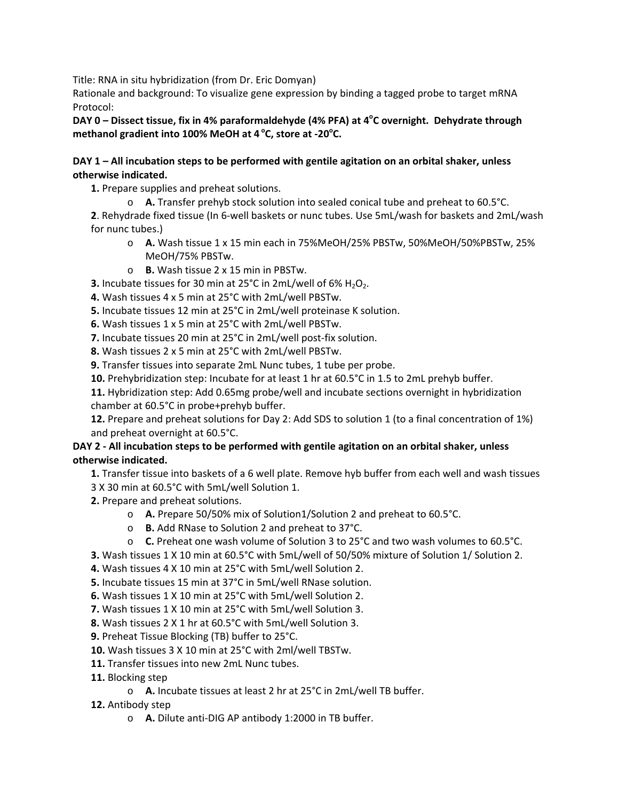Title: RNA in situ hybridization (from Dr. Eric Domyan)

Rationale and background: To visualize gene expression by binding a tagged probe to target mRNA Protocol:

DAY 0 – Dissect tissue, fix in 4% paraformaldehyde (4% PFA) at 4<sup>°</sup>C overnight. Dehydrate through **methanol gradient into 100% MeOH at 4 <sup>o</sup> C, store at -20<sup>o</sup> C.**

### **DAY 1 – All incubation steps to be performed with gentile agitation on an orbital shaker, unless otherwise indicated.**

**1.** Prepare supplies and preheat solutions.

o **A.** Transfer prehyb stock solution into sealed conical tube and preheat to 60.5°C.

**2**. Rehydrade fixed tissue (In 6-well baskets or nunc tubes. Use 5mL/wash for baskets and 2mL/wash for nunc tubes.)

- o **A.** Wash tissue 1 x 15 min each in 75%MeOH/25% PBSTw, 50%MeOH/50%PBSTw, 25% MeOH/75% PBSTw.
- o **B.** Wash tissue 2 x 15 min in PBSTw.
- **3.** Incubate tissues for 30 min at  $25^{\circ}$ C in 2mL/well of 6%  $H_2O_2$ .
- **4.** Wash tissues 4 x 5 min at 25°C with 2mL/well PBSTw.
- **5.** Incubate tissues 12 min at 25°C in 2mL/well proteinase K solution.
- **6.** Wash tissues 1 x 5 min at 25°C with 2mL/well PBSTw.
- **7.** Incubate tissues 20 min at 25°C in 2mL/well post-fix solution.
- **8.** Wash tissues 2 x 5 min at 25°C with 2mL/well PBSTw.
- **9.** Transfer tissues into separate 2mL Nunc tubes, 1 tube per probe.
- **10.** Prehybridization step: Incubate for at least 1 hr at 60.5°C in 1.5 to 2mL prehyb buffer.

**11.** Hybridization step: Add 0.65mg probe/well and incubate sections overnight in hybridization chamber at 60.5°C in probe+prehyb buffer.

**12.** Prepare and preheat solutions for Day 2: Add SDS to solution 1 (to a final concentration of 1%) and preheat overnight at 60.5°C.

#### **DAY 2 - All incubation steps to be performed with gentile agitation on an orbital shaker, unless otherwise indicated.**

**1.** Transfer tissue into baskets of a 6 well plate. Remove hyb buffer from each well and wash tissues 3 X 30 min at 60.5°C with 5mL/well Solution 1.

- **2.** Prepare and preheat solutions.
	- o **A.** Prepare 50/50% mix of Solution1/Solution 2 and preheat to 60.5°C.
	- o **B.** Add RNase to Solution 2 and preheat to 37°C.
	- o **C.** Preheat one wash volume of Solution 3 to 25°C and two wash volumes to 60.5°C.
- **3.** Wash tissues 1 X 10 min at 60.5°C with 5mL/well of 50/50% mixture of Solution 1/ Solution 2.
- **4.** Wash tissues 4 X 10 min at 25°C with 5mL/well Solution 2.
- **5.** Incubate tissues 15 min at 37°C in 5mL/well RNase solution.
- **6.** Wash tissues 1 X 10 min at 25°C with 5mL/well Solution 2.
- **7.** Wash tissues 1 X 10 min at 25°C with 5mL/well Solution 3.
- **8.** Wash tissues 2 X 1 hr at 60.5°C with 5mL/well Solution 3.
- **9.** Preheat Tissue Blocking (TB) buffer to 25°C.
- **10.** Wash tissues 3 X 10 min at 25°C with 2ml/well TBSTw.
- **11.** Transfer tissues into new 2mL Nunc tubes.
- **11.** Blocking step
	- o **A.** Incubate tissues at least 2 hr at 25°C in 2mL/well TB buffer.
- **12.** Antibody step
	- o **A.** Dilute anti-DIG AP antibody 1:2000 in TB buffer.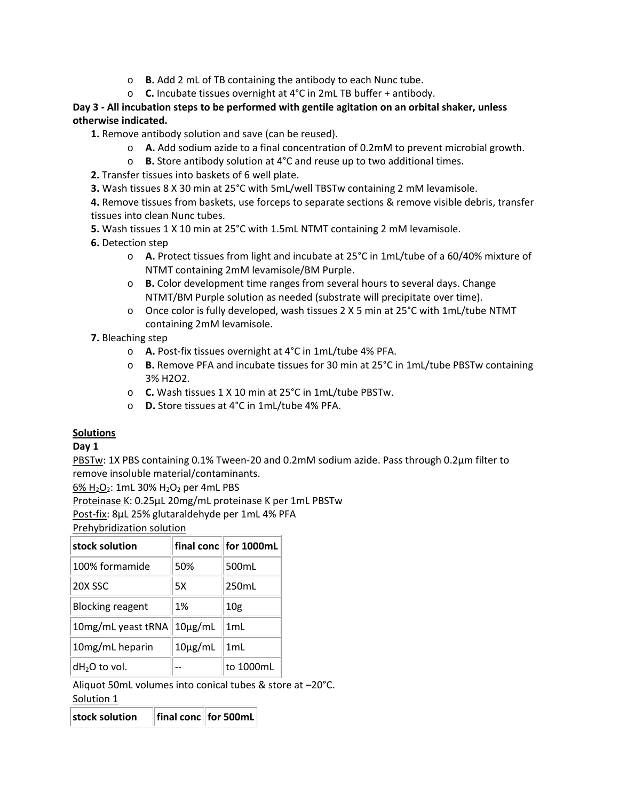- o **B.** Add 2 mL of TB containing the antibody to each Nunc tube.
- o **C.** Incubate tissues overnight at 4°C in 2mL TB buffer + antibody.

# **Day 3 - All incubation steps to be performed with gentile agitation on an orbital shaker, unless otherwise indicated.**

**1.** Remove antibody solution and save (can be reused).

- o **A.** Add sodium azide to a final concentration of 0.2mM to prevent microbial growth.
- o **B.** Store antibody solution at 4°C and reuse up to two additional times.
- **2.** Transfer tissues into baskets of 6 well plate.

**3.** Wash tissues 8 X 30 min at 25°C with 5mL/well TBSTw containing 2 mM levamisole.

**4.** Remove tissues from baskets, use forceps to separate sections & remove visible debris, transfer tissues into clean Nunc tubes.

**5.** Wash tissues 1 X 10 min at 25°C with 1.5mL NTMT containing 2 mM levamisole.

**6.** Detection step

- o **A.** Protect tissues from light and incubate at 25°C in 1mL/tube of a 60/40% mixture of NTMT containing 2mM levamisole/BM Purple.
- o **B.** Color development time ranges from several hours to several days. Change NTMT/BM Purple solution as needed (substrate will precipitate over time).
- o Once color is fully developed, wash tissues 2 X 5 min at 25°C with 1mL/tube NTMT containing 2mM levamisole.

**7.** Bleaching step

- o **A.** Post-fix tissues overnight at 4°C in 1mL/tube 4% PFA.
- o **B.** Remove PFA and incubate tissues for 30 min at 25°C in 1mL/tube PBSTw containing 3% H2O2.
- o **C.** Wash tissues 1 X 10 min at 25°C in 1mL/tube PBSTw.
- o **D.** Store tissues at 4°C in 1mL/tube 4% PFA.

## **Solutions**

## **Day 1**

PBSTw: 1X PBS containing 0.1% Tween-20 and 0.2mM sodium azide. Pass through 0.2µm filter to remove insoluble material/contaminants.

6% H<sub>2</sub>O<sub>2</sub>: 1mL 30% H<sub>2</sub>O<sub>2</sub> per 4mL PBS

Proteinase K: 0.25µL 20mg/mL proteinase K per 1mL PBSTw

Post-fix: 8µL 25% glutaraldehyde per 1mL 4% PFA

Prehybridization solution

| stock solution          |              | final conc for 1000mL |
|-------------------------|--------------|-----------------------|
| 100% formamide          | 50%          | 500mL                 |
| 20X SSC                 | 5X           | 250mL                 |
| <b>Blocking reagent</b> | 1%           | 10 <sub>g</sub>       |
| 10mg/mL yeast tRNA      | $10\mu g/mL$ | 1mL                   |
| 10mg/mL heparin         | $10\mu g/mL$ | 1mL                   |
| $dH2O$ to vol.          |              | to 1000mL             |

Aliquot 50mL volumes into conical tubes & store at –20°C. Solution 1

**stock solution final conc for 500mL**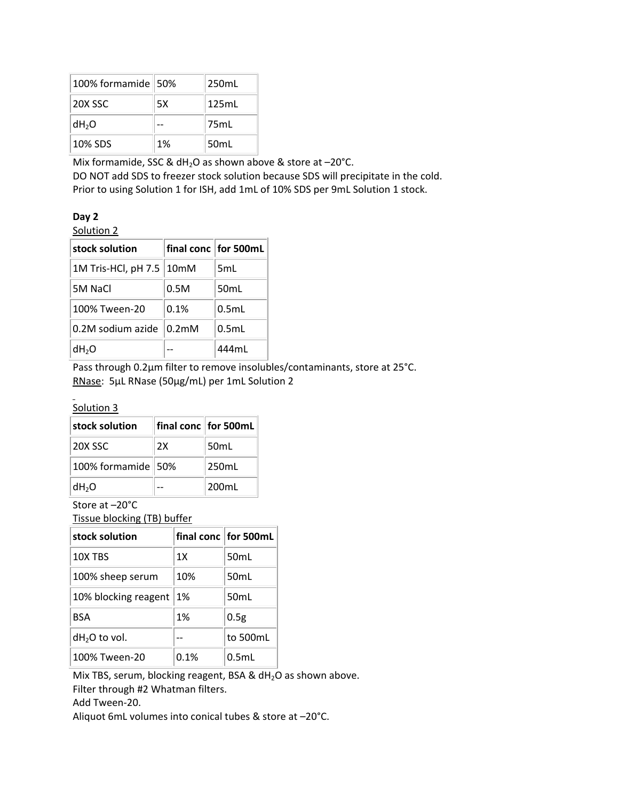| 100% formamide 50% |    | 250mL            |
|--------------------|----|------------------|
| 20X SSC            | 5X | 125mL            |
| dH <sub>2</sub> O  |    | 75mL             |
| 10% SDS            | 1% | 50 <sub>mL</sub> |

Mix formamide, SSC & dH<sub>2</sub>O as shown above & store at  $-20^{\circ}$ C.

DO NOT add SDS to freezer stock solution because SDS will precipitate in the cold. Prior to using Solution 1 for ISH, add 1mL of 10% SDS per 9mL Solution 1 stock.

| ۰.<br>×<br>. . |  |
|----------------|--|
|----------------|--|

Solution 2

| stock solution      |                    | final conc for 500mL |
|---------------------|--------------------|----------------------|
| 1M Tris-HCl, pH 7.5 | 10 <sub>mM</sub>   | 5mL                  |
| 5M NaCl             | 0.5M               | 50 <sub>mL</sub>     |
| 100% Tween-20       | 0.1%               | $0.5m$ L             |
| 0.2M sodium azide   | 0.2 <sub>m</sub> M | 0.5mL                |
| dH <sub>2</sub> O   |                    | 444mL                |

Pass through 0.2µm filter to remove insolubles/contaminants, store at 25°C. RNase: 5µL RNase (50µg/mL) per 1mL Solution 2

#### Solution 3

| stock solution       |    | final conc for 500mL |
|----------------------|----|----------------------|
| 20X SSC              | 2x | 50 <sub>mL</sub>     |
| 100% formamide   50% |    | 250 <sub>m</sub> L   |
| dH <sub>2</sub> O    |    | 200mL                |

Store at –20°C

Tissue blocking (TB) buffer

| stock solution       |      | final conclifor 500mL |
|----------------------|------|-----------------------|
| 10X TBS              | 1X   | 50 <sub>mL</sub>      |
| 100% sheep serum     | 10%  | 50 <sub>mL</sub>      |
| 10% blocking reagent | 1%   | 50mL                  |
| <b>BSA</b>           | 1%   | 0.5g                  |
| $dH2O$ to vol.       |      | to 500mL              |
| 100% Tween-20        | 0.1% | 0.5mL                 |

Mix TBS, serum, blocking reagent, BSA &  $dH_2O$  as shown above. Filter through #2 Whatman filters.

Add Tween-20.

Aliquot 6mL volumes into conical tubes & store at –20°C.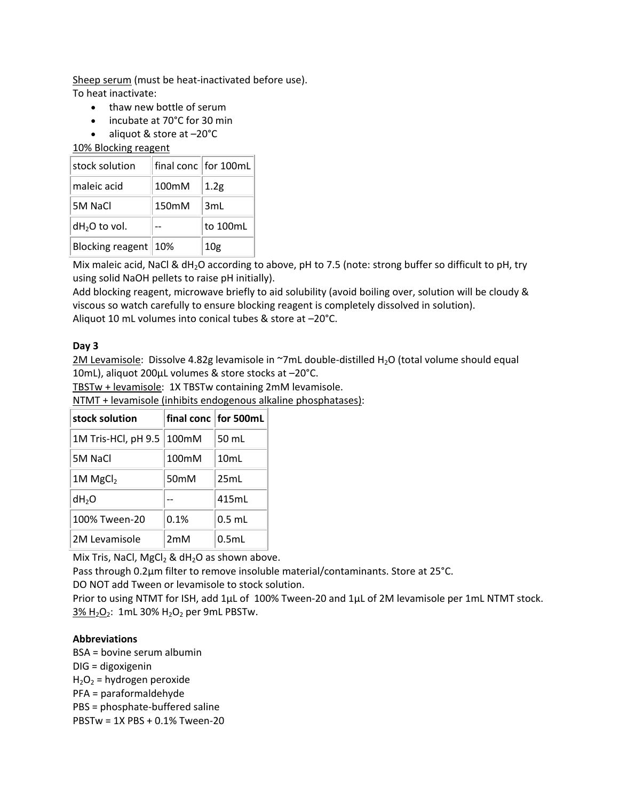Sheep serum (must be heat-inactivated before use). To heat inactivate:

- thaw new bottle of serum
- incubate at 70°C for 30 min
- aliquot & store at –20°C

10% Blocking reagent

| stock solution       |       | final conclifor 100mL |
|----------------------|-------|-----------------------|
| maleic acid          | 100mM | 1.2g                  |
| 5M NaCl              | 150mM | 3mL                   |
| $dH2O$ to vol.       |       | to 100mL              |
| Blocking reagent 10% |       | 10 <sub>g</sub>       |

Mix maleic acid, NaCl & dH<sub>2</sub>O according to above, pH to 7.5 (note: strong buffer so difficult to pH, try using solid NaOH pellets to raise pH initially).

Add blocking reagent, microwave briefly to aid solubility (avoid boiling over, solution will be cloudy & viscous so watch carefully to ensure blocking reagent is completely dissolved in solution). Aliquot 10 mL volumes into conical tubes & store at –20°C.

### **Day 3**

2M Levamisole: Dissolve 4.82g levamisole in ~7mL double-distilled H<sub>2</sub>O (total volume should equal 10mL), aliquot 200µL volumes & store stocks at –20°C.

TBSTw + levamisole: 1X TBSTw containing 2mM levamisole.

NTMT + levamisole (inhibits endogenous alkaline phosphatases):

| stock solution         |                  | final conc for 500mL |
|------------------------|------------------|----------------------|
| 1M Tris-HCl, pH 9.5    | 100mM            | 50 mL                |
| 5M NaCl                | 100mM            | 10mL                 |
| $1M$ MgCl <sub>2</sub> | 50 <sub>mM</sub> | 25mL                 |
| $dH_2O$                |                  | 415mL                |
| 100% Tween-20          | 0.1%             | $0.5$ mL             |
| 2M Levamisole          | 2mM              | $0.5m$ L             |

Mix Tris, NaCl, MgCl<sub>2</sub> & dH<sub>2</sub>O as shown above.

Pass through 0.2µm filter to remove insoluble material/contaminants. Store at 25°C.

DO NOT add Tween or levamisole to stock solution.

Prior to using NTMT for ISH, add 1µL of 100% Tween-20 and 1µL of 2M levamisole per 1mL NTMT stock.  $3\%$  H<sub>2</sub>O<sub>2</sub>: 1mL 30% H<sub>2</sub>O<sub>2</sub> per 9mL PBSTw.

## **Abbreviations**

BSA = bovine serum albumin DIG = digoxigenin

 $H_2O_2$  = hydrogen peroxide

PFA = paraformaldehyde

PBS = phosphate-buffered saline

PBSTw = 1X PBS + 0.1% Tween-20